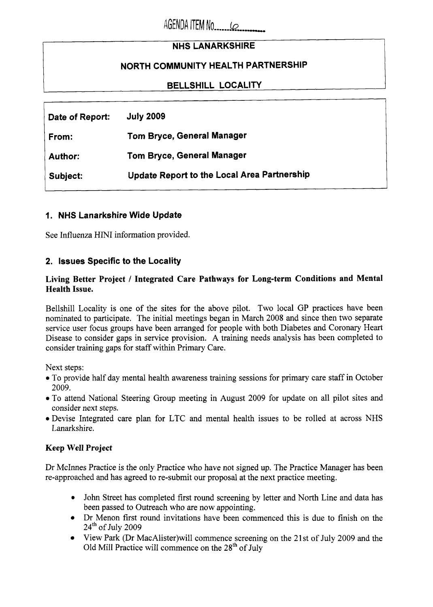# **NHS LANARKSHIRE**

# **NORTH COMMUNITY HEALTH PARTNERSHIP**

# **BELLSHILL LOCALITY**

| Date of Report: | <b>July 2009</b>                                   |
|-----------------|----------------------------------------------------|
| From:           | Tom Bryce, General Manager                         |
| Author:         | <b>Tom Bryce, General Manager</b>                  |
| Subject:        | <b>Update Report to the Local Area Partnership</b> |

### **1. NHS Lanarkshire Wide Update**

See Influenza HINI information provided.

### **2. Issues Specific to the Locality**

### **Living Better Project** / **Integrated Care Pathways for Long-term Conditions and Mental Health Issue.**

Bellshill Locality is one of the sites for the above pilot. Two local GP practices have been nominated to participate. The initial meetings began in March 2008 and since then two separate service user focus groups have been arranged for people with both Diabetes and Coronary Heart Disease to consider gaps in service provision. A training needs analysis has been completed to consider training gaps for staff within Primary Care.

Next steps:

- To provide half day mental health awareness training sessions for primary care staff in October 2009.
- To attend National Steering Group meeting in August 2009 for update on all pilot sites and consider next steps.
- *0* Devise Integrated care plan for LTC and mental health issues to be rolled at across NHS Lanarkshire.

### **Keep Well Project**

Dr McInnes Practice is the only Practice who have not signed **up.** The Practice Manager has been re-approached and has agreed to re-submit our proposal at the next practice meeting.

- John Street has completed first round screening by letter and North Line and data has been passed to Outreach who are now appointing.
- Dr Menon first round invitations have been commenced this is due to finish on the  $24<sup>th</sup>$  of July 2009
- View Park (Dr MacA1ister)will commence screening on the 21st of July 2009 and the Old Mill Practice will commence on the  $28<sup>th</sup>$  of July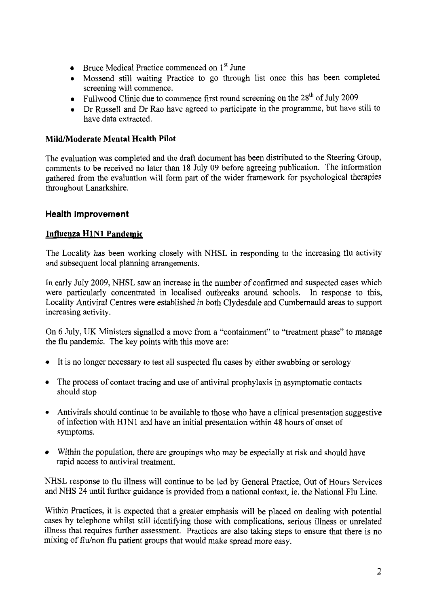- $\bullet$  Bruce Medical Practice commenced on  $1<sup>st</sup>$  June
- *0*  Mossend still waiting Practice to go through list once this has been completed screening will commence.
- Fullwood Clinic due to commence first round screening on the 28<sup>th</sup> of July 2009
- *0*  Dr Russell and Dr Rao have agreed to participate in the programme, but have still to have data extracted.

### **Mildmoderate Mental Health Pilot**

The evaluation was completed and the draft document has been distributed to the Steering Group, comments to be received no later than 18 July 09 before agreeing publication. The information gathered from the evaluation will form part of the wider framework for psychological therapies throughout Lanarkshire.

# **Health Improvement**

### **Influenza HlNl Pandemic**

The Locality has been working closely with NHSL in responding to the increasing flu activity and subsequent local planning arrangements.

In early July 2009, NHSL saw an increase in the number of confirmed and suspected cases which were particularly concentrated in localised outbreaks around schools. In response to this, Locality Antiviral Centres were established in both Clydesdale and Cumbernauld areas to support increasing activity.

On 6 July, UK Ministers signalled a move from a "containment" to "treatment phase'' to manage the flu pandemic. The key points with this move are:

- It is no longer necessary to test all suspected flu cases by either swabbing or serology
- *<sup>0</sup>*The process of contact tracing and use of antiviral prophylaxis in asymptomatic contacts should stop
- Antivirals should continue to be available to those who have a clinical presentation suggestive of infection with HlNl and have an initial presentation within 48 hours of onset of symptoms.
- Within the population, there are groupings who may be especially at risk and should have rapid access to antiviral treatment.

NHSL response to flu illness will continue to be led by General Practice, Out of Hours Services and NHS 24 until further guidance is provided from a national context, ie. the National Flu Line.

Within Practices, it is expected that a greater emphasis will be placed on dealing with potential cases by telephone whilst still identifying those with complications, serious illness or unrelated illness that requires further assessment. Practices are also taking steps to ensure that there is no mixing of flu/non flu patient groups that would make spread more easy.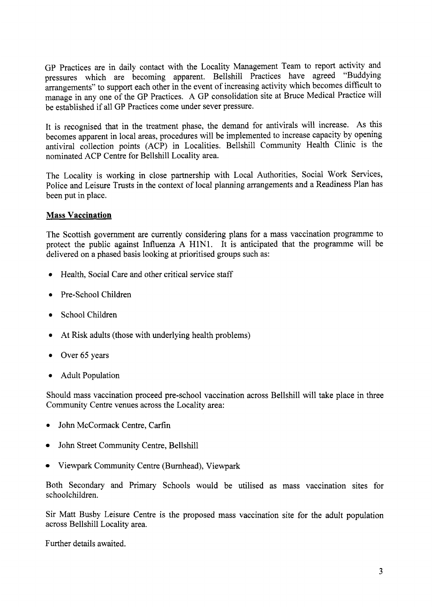GP Practices are in daily contact with the Locality Management Team to report activity and pressures which are becoming apparent. Bellshill Practices have agreed "Buddying arrangements" to support each other in the event of increasing activity which becomes difficult to manage in any one of the GP Practices. A GP consolidation site at Bruce Medical Practice will be established if all GP Practices come under sever pressure.

It is recognised that in the treatment phase, the demand for antivirals will increase. As this becomes apparent in local areas, procedures will be implemented to increase capacity by opening antiviral collection points (ACP) in Localities. Bellshill Community Health Clinic is the nominated ACP Centre for Bellshill Locality area.

The Locality is working in close partnership with Local Authorities, Social Work Services, Police and Leisure Trusts in the context of local planning arrangements and a Readiness Plan has been put in place.

#### **Mass Vaccination**

The Scottish government are currently considering plans for a mass vaccination programme to protect the public against Influenza **A** HlN1. It is anticipated that the programme will be delivered on a phased basis looking at prioritised groups such as:

- *0* Health, Social Care and other critical service staff
- *<sup>0</sup>*Pre-School Children
- School Children
- At Risk adults (those with underlying health problems)
- Over 65 years
- *<sup>0</sup>*Adult Population

Should mass vaccination proceed pre-school vaccination across Bellshill will take place in three Community Centre venues across the Locality area:

- *0* John McCormack Centre, Carfin
- John Street Community Centre, Bellshill
- Viewpark Community Centre (Burnhead), Viewpark

Both Secondary and Primary Schools would be utilised as mass vaccination sites for schoolchildren.

Sir Matt Busby Leisure Centre is the proposed mass vaccination site for the adult population across Bellshill Locality area.

Further details awaited.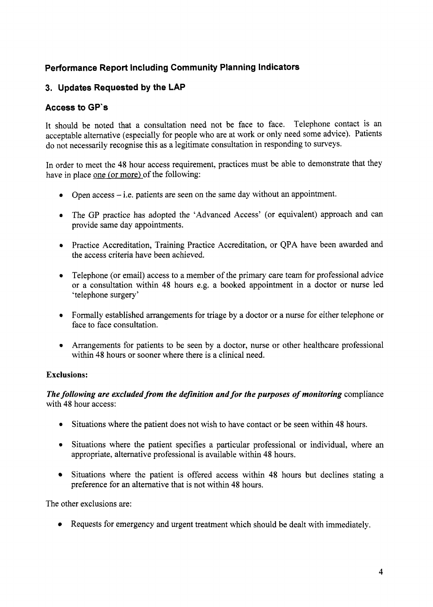# **Performance Report Including Community Planning Indicators**

# **3. Updates Requested by the LAP**

# **Access to GP's**

It should be noted that a consultation need not be face to face. Telephone contact is an acceptable alternative (especially for people who are at work or only need some advice). Patients do not necessarily recognise this as a legitimate consultation in responding to surveys.

In order to meet the 48 hour access requirement, practices must be able to demonstrate that they have in place one (or more) of the following:

- $\bullet$  Open access i.e. patients are seen on the same day without an appointment.
- The GP practice has adopted the 'Advanced Access' (or equivalent) approach and can provide same day appointments.
- Practice Accreditation, Training Practice Accreditation, or QPA have been awarded and the access criteria have been achieved.
- Telephone (or email) access to a member of the primary care team for professional advice or a consultation within 48 hours e.g. a booked appointment in a doctor or nurse led 'telephone surgery'
- Formally established arrangements for triage by a doctor or a nurse for either telephone or face to face consultation.
- Arrangements for patients to be seen by a doctor, nurse or other healthcare professional within 48 hours or sooner where there is a clinical need.

### **Exclusions:**

### *The following are excluded from the definition and for the purposes of monitoring* compliance with **48** hour access:

- *0*  Situations where the patient does not wish to have contact or be seen within 48 hours.
- *0*  Situations where the patient specifies a particular professional or individual, where an appropriate, alternative professional is available within 48 hours.
- Situations where the patient is offered access within 48 hours but declines stating a  $\bullet$ preference for an alternative that is not within 48 hours.

The other exclusions are:

Requests for emergency and urgent treatment which should be dealt with immediately.